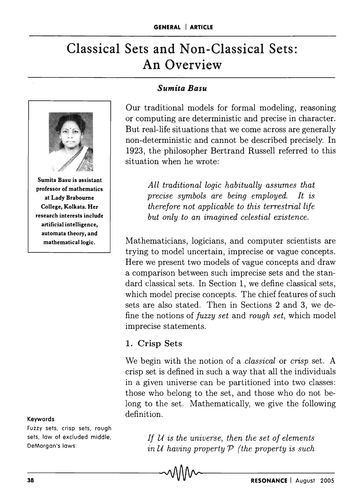# **Classical Sets and Non-Classical Sets: An Overview**



Sumita Basu is assistant professor of mathematics at Lady Braboume College, Kolkata. Her research interests include artificial intelligence, automata theory, and mathematical logic.

#### Keywords

Fuzzy sets, crisp sets, rough sets, law of excluded middle, DeMorgan's laws.

#### *Sumita Basu*

Our traditional models for formal modeling, reasoning or computing are deterministic and precise in character. But real-life situations that we come across are generally non-deterministic and cannot be described precisely. In 1923, the philosopher Bertrand Russell referred to this situation when he wrote:

> *All traditional logic habitually assumes that precise symbols are being employed. It is therefore not applicable to this terrestrial life but only to an imagined celestial existence.*

Mathematicians, logicians, and computer scientists are trying to model uncertain, imprecise or vague concepts. Here we present two models of vague concepts and draw a comparison between such imprecise sets and the standard classical sets. In Section 1, we define classical sets, which model precise concepts. The chief features of such sets are also stated. Then in Sections 2 and 3, we define the notions of *fuzzy set* and *rough set,* which model imprecise statements.

#### 1. Crisp Sets

We begin with the notion of a *classical* or *crisp* set. A crisp set is defined in such a way that all the individuals in a given universe can be partitioned into two classes: those who belong to the set, and those who do not belong to the set. Mathematically, we give the following definition.

> *If U is the universe, then the set of elements in U having property P (the property* is *such*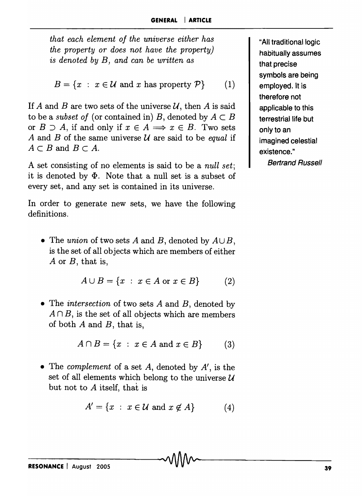*that each element of the universe either has the property or does not have the property)*  is *denoted by B, and can be written as* 

 $B = \{x : x \in \mathcal{U} \text{ and } x \text{ has property } \mathcal{P}\}\$  (1)

If A and B are two sets of the universe  $U$ , then A is said to be a *subset of* (or contained in) *B*, denoted by  $A \subset B$ or  $B \supset A$ , if and only if  $x \in A \Longrightarrow x \in B$ . Two sets *A* and *B* of the same universe *U* are said to be *equal* if  $A \subset B$  and  $B \subset A$ .

A set consisting of no elements is said to be a *null set;*  it is denoted by  $\Phi$ . Note that a null set is a subset of every set, and any set is contained in its universe.

In order to generate new sets, we have the following definitions.

• The *union* of two sets *A* and *B*, denoted by  $A \cup B$ , is the set of all objects which are members of either *A* or *B,* that is,

$$
A \cup B = \{x : x \in A \text{ or } x \in B\}
$$
 (2)

• The *intersection* of two sets *A* and *B,* denoted by  $A \cap B$ , is the set of all objects which are members of both *A* and *B,* that is,

$$
A \cap B = \{x : x \in A \text{ and } x \in B\}
$$
 (3)

• The *complement* of a set *A,* denoted by *A',* is the set of all elements which belong to the universe  $U$ but not to A itself, that is

$$
A' = \{x : x \in \mathcal{U} \text{ and } x \notin A\}
$$
 (4)

"All traditional logic habitually assumes that precise symbols are being employed. It is therefore not applicable to this terrestrial life but only to an imagined celestial existence." Bertrand Russell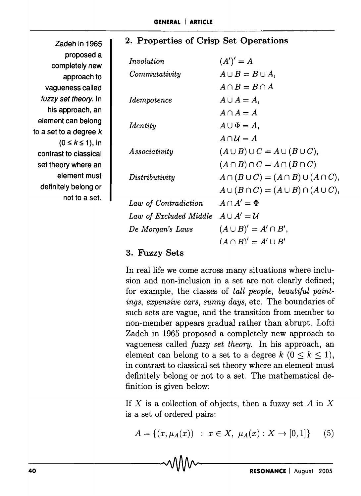## 2. Properties of Crisp Set Operations

completely new approach to  $(0 \leq k \leq 1)$ , in element must not to a set. *Involution Identity* 

*Commutativity Idempotence Associativity Distributivity*   $(A')' = A$  $A \cup B = B \cup A$ ,  $A \cap B = B \cap A$  $A \cup A = A$ .  $A \cap A = A$  $A \cup \Phi = A$ ,  $A \cap U = A$  $(A \cup B) \cup C = A \cup (B \cup C)$ ,  $(A \cap B) \cap C = A \cap (B \cap C)$  $A \cap (B \cup C) = (A \cap B) \cup (A \cap C),$  $A \cup (B \cap C) = (A \cup B) \cap (A \cup C),$ *Law of Contradiction*  $A \cap A' = \Phi$ *Law of Excluded Middle*  $A \cup A' = U$ *De Morgan's Laws*  $(A \cup B)' = A' \cap B'$ ,  $(A \cap R)' = A' \cup R'$ 

## 3. Fuzzy Sets

In real life we come across many situations where inclusion and non-inclusion in a set are not clearly defined; for example, the classes of *tall people, beautiful paintings, expensive cars, sunny days,* etc. The boundaries of such sets are vague, and the transition from member to non-member appears gradual rather than abrupt. Lofti Zadeh in 1965 proposed a completely new approach to vagueness called *fuzzy set theory.* In his approach, an element can belong to a set to a degree  $k$  ( $0 \leq k \leq 1$ ), in contrast to classical set theory where an element must definitely belong or not to a set. The mathematical definition is given below:

If X is a collection of objects, then a fuzzy set  $A$  in X is a set of ordered pairs:

 $A = \{(x, \mu_A(x)) : x \in X, \mu_A(x) : X \to [0,1]\}$  (5)

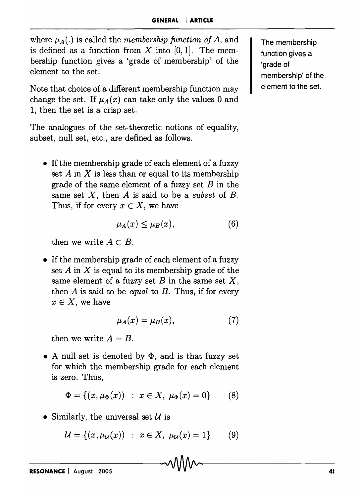where  $\mu_A(.)$  is called the *membership function of A,* and is defined as a function from  $X$  into  $[0,1]$ . The membership function gives a 'grade of membership' of the element to the set.

Note that choice of a different membership function may change the set. If  $\mu_A(x)$  can take only the values 0 and 1, then the set is a crisp set.

The analogues of the set-theoretic notions of equality, subset, null set, etc., are defined as follows.

• If the membership grade of each element of a fuzzy set  $A$  in  $X$  is less than or equal to its membership grade of the same element of a fuzzy set  $B$  in the same set *X,* then *A* is said to be a *subset* of *B.*  Thus, if for every  $x \in X$ , we have

$$
\mu_A(x) \le \mu_B(x), \tag{6}
$$

then we write  $A \subset B$ .

• If the membership grade of each element of a fuzzy set  $A$  in  $X$  is equal to its membership grade of the same element of a fuzzy set  $B$  in the same set  $X$ , then A is said to be *equal* to *B.* Thus, if for every  $x \in X$ , we have

$$
\mu_A(x) = \mu_B(x),\tag{7}
$$

then we write  $A = B$ .

• A null set is denoted by  $\Phi$ , and is that fuzzy set for which the membership grade for each element is zero. Thus,

$$
\Phi = \{(x, \mu_{\Phi}(x)) : x \in X, \ \mu_{\Phi}(x) = 0\}
$$
 (8)

• Similarly, the universal set  $\mathcal U$  is

$$
\mathcal{U} = \{(x, \mu_{\mathcal{U}}(x)) : x \in X, \ \mu_{\mathcal{U}}(x) = 1\}
$$
 (9)

The membership function gives a 'grade of membership' of the element to the set.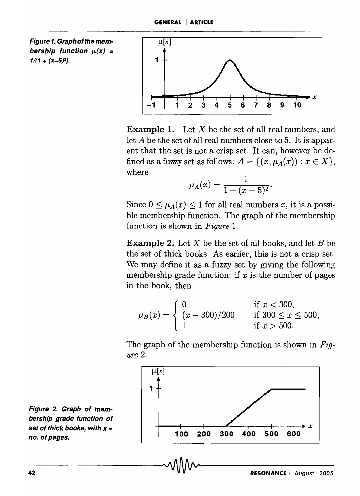Figure 1. Graph of the membership function  $\mu(x)$  =  $1/(1 + (x-5)^2)$ .



**Example 1.** Let  $X$  be the set of all real numbers, and let A be the set of all real numbers close to 5. It is apparent that the set is not a crisp set. It can, however be defined as a fuzzy set as follows:  $A = \{(x, \mu_A(x)) : x \in X\},\$ where

$$
\mu_A(x) = \frac{1}{1 + (x - 5)^2}.
$$

Since  $0 \leq \mu_A(x) \leq 1$  for all real numbers *x*, it is a possible membership function. The graph of the membership function is shown in *Figure 1.* 

Example 2. Let X be the set of all books, and let *B* be the set of thick books. As earlier, this is not a crisp set. We may define it as a fuzzy set by giving the following membership grade function: if  $x$  is the number of pages in the book, then

$$
\mu_B(x) = \begin{cases} 0 & \text{if } x < 300, \\ (x - 300)/200 & \text{if } 300 \le x \le 500, \\ 1 & \text{if } x > 500. \end{cases}
$$

The graph of the membership function is shown in *Figure 2.* 



Figure 2. Graph of membership grade function of set of thick books, with x *=*  no. of pages.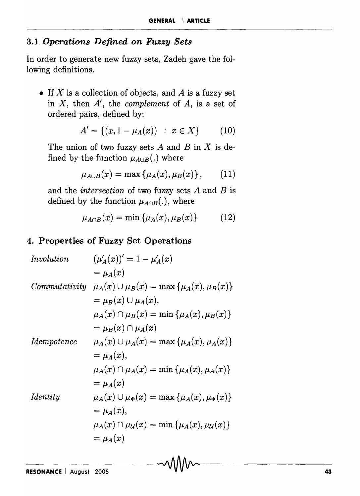#### *3.1 Operations Defined on Fuzzy Sets*

In order to generate new fuzzy sets, Zadeh gave the following definitions.

• If  $X$  is a collection of objects, and  $A$  is a fuzzy set in *X,* then *A',* the *complement* of *A,* is a set of ordered pairs, defined by:

$$
A' = \{(x, 1 - \mu_A(x)) : x \in X\}
$$
 (10)

The union of two fuzzy sets  $A$  and  $B$  in  $X$  is defined by the function  $\mu_{A\cup B}$  (.) where

$$
\mu_{A\cup B}(x) = \max\left\{\mu_A(x), \mu_B(x)\right\},\qquad(11)
$$

and the *intersection* of two fuzzy sets *A* and *B* is defined by the function  $\mu_{A\cap B}(.)$ , where

$$
\mu_{A \cap B}(x) = \min \{ \mu_A(x), \mu_B(x) \} \tag{12}
$$

#### 4. Properties of Fuzzy Set Operations

$$
\begin{aligned}\n\text{Involution} \qquad & (\mu_A'(x))' = 1 - \mu_A'(x) \\
&= \mu_A(x) \\
\text{Commutativity} \quad & \mu_A(x) \cup \mu_B(x) = \max \{ \mu_A(x), \mu_B(x) \} \\
&= \mu_B(x) \cup \mu_A(x), \\
& \mu_A(x) \cap \mu_B(x) = \min \{ \mu_A(x), \mu_B(x) \} \\
&= \mu_B(x) \cap \mu_A(x) \\
\text{Idempotence} \qquad & \mu_A(x) \cup \mu_A(x) = \max \{ \mu_A(x), \mu_A(x) \} \\
&= \mu_A(x), \\
& \mu_A(x) \cap \mu_A(x) = \min \{ \mu_A(x), \mu_A(x) \} \\
&= \mu_A(x) \\
\text{Identity} \qquad & \mu_A(x) \cup \mu_{\Phi}(x) = \max \{ \mu_A(x), \mu_{\Phi}(x) \} \\
&= \mu_A(x), \\
& \mu_A(x) \cap \mu_{\mathcal{U}}(x) = \min \{ \mu_A(x), \mu_{\mathcal{U}}(x) \} \\
&= \mu_A(x) \\
\text{Inequality} \qquad & \mu_A(x) \cap \mu_{\mathcal{U}}(x) = \min \{ \mu_A(x), \mu_{\mathcal{U}}(x) \} \\
&= \mu_A(x)\n\end{aligned}
$$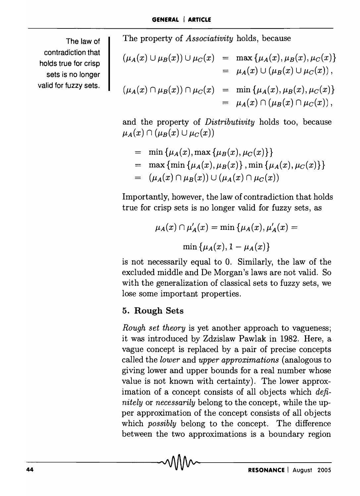The law of contradiction that holds true for crisp sets is no longer valid for fuzzy sets.

The property of *Associativity* holds, because

$$
(\mu_A(x) \cup \mu_B(x)) \cup \mu_C(x) = \max \{\mu_A(x), \mu_B(x), \mu_C(x)\}
$$
  
=  $\mu_A(x) \cup (\mu_B(x) \cup \mu_C(x)),$   

$$
(\mu_A(x) \cap \mu_B(x)) \cap \mu_C(x) = \min \{\mu_A(x), \mu_B(x), \mu_C(x)\}
$$
  
=  $\mu_A(x) \cap (\mu_B(x) \cap \mu_C(x)),$ 

and the property of *Distributivity* holds too, because  $\mu_A(x) \cap (\mu_B(x) \cup \mu_C(x))$ 

= min {
$$
\mu_A(x)
$$
, max { $\mu_B(x)$ ,  $\mu_C(x)$  }  
\n= max {min { $\mu_A(x)$ ,  $\mu_B(x)$ }, min { $\mu_A(x)$ ,  $\mu_C(x)$  }  
\n= ( $\mu_A(x) \cap \mu_B(x)$ )  $\cup$  ( $\mu_A(x) \cap \mu_C(x)$ )

Importantly, however, the law of contradiction that holds true for crisp sets is no longer valid for fuzzy sets, as

$$
\mu_A(x) \cap \mu'_A(x) = \min \left\{ \mu_A(x), \mu'_A(x) = \right.
$$

$$
\min \left\{ \mu_A(x), 1 - \mu_A(x) \right\}
$$

is not necessarily equal to o. Similarly, the law of the excluded middle and De Morgan's laws are not valid. So with the generalization of classical sets to fuzzy sets, we lose some important properties.

## 5. Rough Sets

*Rough set theory* is yet another approach to vagueness; it was introduced by Zdzislaw Pawlak in 1982. Here, a vague concept is replaced by a pair of precise concepts called the *lower* and *upper approximations* (analogous to giving lower and upper bounds for a real number whose value is not known with certainty). The lower approximation of a concept consists of all objects which *definitely* or *necessarily* belong to the concept, while the upper approximation of the concept consists of all objects which *possibly* belong to the concept. The difference between the two approximations is a boundary region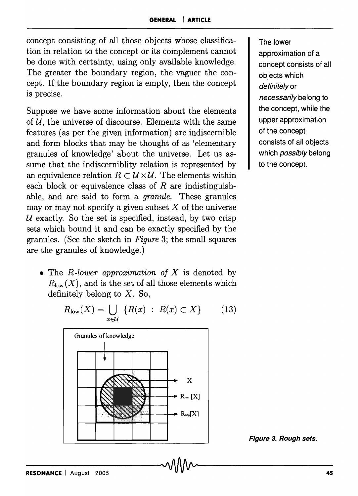concept consisting of all those objects whose classification in relation to the concept or its complement cannot be done with certainty, using only available knowledge. The greater the boundary region, the vaguer the concept. If the boundary region is empty, then the concept is precise.

Suppose we have some information about the elements of *U,* the universe of discourse. Elements with the same features (as per the given information) are indiscernible and form blocks that may be thought of as 'elementary granules of knowledge' about the universe. Let us assume that the indiscerniblity relation is represented by an equivalence relation  $R \subset \mathcal{U} \times \mathcal{U}$ . The elements within each block or equivalence class of *R* are indistinguishable, and are said to form a *granule.* These granules may or may not specify a given subset  $X$  of the universe U exactly. So the set is specified, instead, by two crisp sets which bound it and can be exactly specified by the granules. (See the sketch in *Figure* 3; the small squares are the granules of knowledge.)

• The *R-lower approximation of X* is denoted by  $R_{\text{low}}(X)$ , and is the set of all those elements which definitely belong to  $X$ . So,



$$
R_{\text{low}}(X) = \bigcup_{x \in \mathcal{U}} \{ R(x) : R(x) \subset X \} \qquad (13)
$$

The lower approximation of a concept consists of all objects which definitely or necessarily belong to the concept, while the upper approximation of the concept consists of all objects which *possibly* belong to the concept.

Figure 3. Rough sets.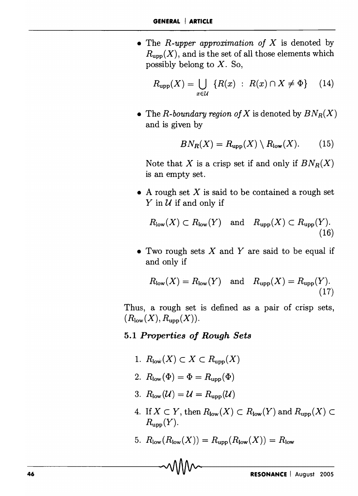• The *R-upper approximation of* X is denoted by  $R_{\text{upp}}(X)$ , and is the set of all those elements which possibly belong to  $X$ . So,

$$
R_{\text{upp}}(X) = \bigcup_{x \in \mathcal{U}} \{ R(x) : R(x) \cap X \neq \Phi \} \qquad (14)
$$

• The *R*-boundary region of X is denoted by  $BN_R(X)$ and is given by

$$
BN_R(X) = R_{\text{upp}}(X) \setminus R_{\text{low}}(X). \tag{15}
$$

Note that X is a crisp set if and only if  $BN_R(X)$ is an empty set.

• A rough set  $X$  is said to be contained a rough set  $Y$  in  $U$  if and only if

$$
R_{\text{low}}(X) \subset R_{\text{low}}(Y) \text{ and } R_{\text{upp}}(X) \subset R_{\text{upp}}(Y).
$$
\n(16)

• Two rough sets  $X$  and  $Y$  are said to be equal if and only if

$$
R_{\text{low}}(X) = R_{\text{low}}(Y) \quad \text{and} \quad R_{\text{upp}}(X) = R_{\text{upp}}(Y). \tag{17}
$$

Thus, a rough set is defined as a pair of crisp sets,  $(R_{\text{low}}(X), R_{\text{upp}}(X)).$ 

#### *5.1 Properties oj Rough Sets*

- 1.  $R_{\text{low}}(X) \subset X \subset R_{\text{upp}}(X)$
- 2.  $R_{\text{low}}(\Phi) = \Phi = R_{\text{upp}}(\Phi)$
- 3.  $R_{\text{low}}(\mathcal{U}) = \mathcal{U} = R_{\text{upp}}(\mathcal{U})$
- 4. If  $X \subset Y$ , then  $R_{\text{low}}(X) \subset R_{\text{low}}(Y)$  and  $R_{\text{upp}}(X) \subset$  $R_{\text{upp}}(Y)$ .
- 5.  $R_{\text{low}}(R_{\text{low}}(X)) = R_{\text{upp}}(R_{\text{low}}(X)) = R_{\text{low}}$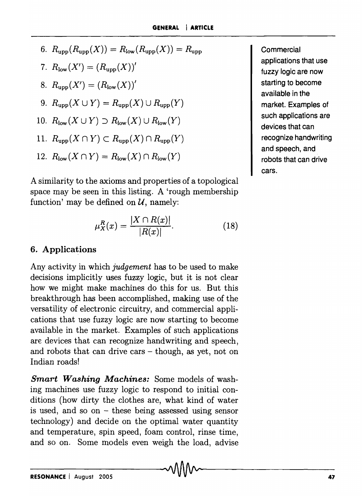6.  $R_{\text{upp}}(R_{\text{upp}}(X)) = R_{\text{low}}(R_{\text{upp}}(X)) = R_{\text{upp}}$ 7.  $R_{\text{low}}(X') = (R_{\text{upp}}(X))'$ 8.  $R_{\text{upp}}(X') = (R_{\text{low}}(X))'$ 9.  $R_{\text{upp}}(X \cup Y) = R_{\text{upp}}(X) \cup R_{\text{upp}}(Y)$ 10.  $R_{\text{low}}(X \cup Y) \supset R_{\text{low}}(X) \cup R_{\text{low}}(Y)$ 11.  $R_{\text{upp}}(X \cap Y) \subset R_{\text{upp}}(X) \cap R_{\text{upp}}(Y)$ 12.  $R_{\text{low}}(X \cap Y) = R_{\text{low}}(X) \cap R_{\text{low}}(Y)$ 

A similarity to the axioms and properties of a topological space may be seen in this listing. A 'rough membership function' may be defined on  $U$ , namely:

$$
\mu_X^R(x) = \frac{|X \cap R(x)|}{|R(x)|}.
$$
 (18)

### 6. Applications

Any activity in which *judgement* has to be used to make decisions implicitly uses fuzzy logic, but it is not clear how we might make machines do this for us. But this breakthrough has been accomplished, making use of the versatility of electronic circuitry, and commercial applications that use fuzzy logic are now starting to become available in the market. Examples of such applications are devices that can recognize handwriting and speech, and robots that can drive cars  $-$  though, as yet, not on Indian roads!

*Smart Washing Machines:* Some models of washing machines use fuzzy logic to respond to initial conditions (how dirty the clothes are, what kind of water is used, and so on  $-$  these being assessed using sensor technology) and decide on the optimal water quantity and temperature, spin speed, foam control, rinse time, and so on. Some models even weigh the load, advise Commercial applications that use fuzzy logic are now starting to become available in the market. Examples of such applications are devices that can recognize handwriting and speech, and robots that can drive cars.